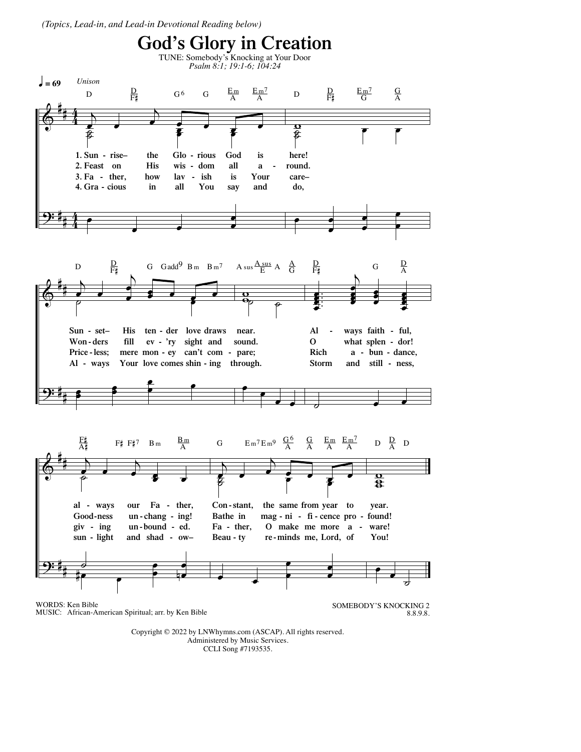(Topics, Lead-in, and Lead-in Devotional Reading below)



Copyright © 2022 by LNWhymns.com (ASCAP). All rights reserved. Administered by Music Services. CCLI Song #7193535.